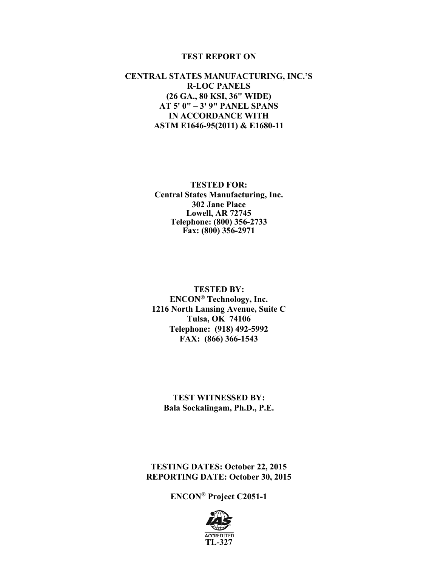#### **TEST REPORT ON**

#### **CENTRAL STATES MANUFACTURING, INC.'S R-LOC PANELS (26 GA., 80 KSI, 36" WIDE) AT 5' 0" – 3' 9" PANEL SPANS IN ACCORDANCE WITH ASTM E1646-95(2011) & E1680-11**

**TESTED FOR: Central States Manufacturing, Inc. 302 Jane Place Lowell, AR 72745 Telephone: (800) 356-2733 Fax: (800) 356-2971** 

**TESTED BY: ENCON® Technology, Inc. 1216 North Lansing Avenue, Suite C Tulsa, OK 74106 Telephone: (918) 492-5992 FAX: (866) 366-1543** 

**TEST WITNESSED BY: Bala Sockalingam, Ph.D., P.E.** 

**TESTING DATES: October 22, 2015 REPORTING DATE: October 30, 2015** 

**ENCON® Project C2051-1**

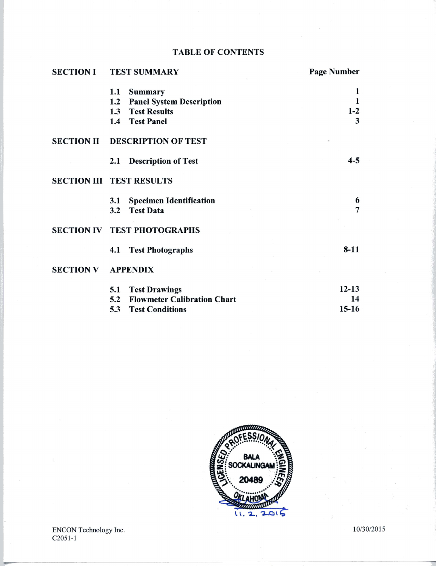# **TABLE OF CONTENTS**

| <b>SECTION I</b>                    | <b>TEST SUMMARY</b>                       | Page Number |
|-------------------------------------|-------------------------------------------|-------------|
|                                     | <b>Summary</b><br>1.1                     | 1           |
|                                     | <b>Panel System Description</b><br>1.2    | 1           |
|                                     | <b>Test Results</b><br>1.3                | $1 - 2$     |
|                                     | 1.4 Test Panel                            | 3           |
| <b>SECTION II</b>                   | <b>DESCRIPTION OF TEST</b>                |             |
|                                     | <b>Description of Test</b><br>2.1         | $4 - 5$     |
|                                     | <b>SECTION III TEST RESULTS</b>           |             |
|                                     | <b>Specimen Identification</b><br>3.1     | 6           |
|                                     | <b>Test Data</b><br>3.2                   | 7           |
|                                     | <b>SECTION IV TEST PHOTOGRAPHS</b>        |             |
|                                     | <b>Test Photographs</b><br>4.1            | $8 - 11$    |
| <b>SECTION V</b><br><b>APPENDIX</b> |                                           |             |
|                                     | <b>Test Drawings</b><br>5.1               | $12 - 13$   |
|                                     | <b>Flowmeter Calibration Chart</b><br>5.2 | 14          |
|                                     | 5.3<br><b>Test Conditions</b>             | $15 - 16$   |
|                                     |                                           |             |



10/30/2015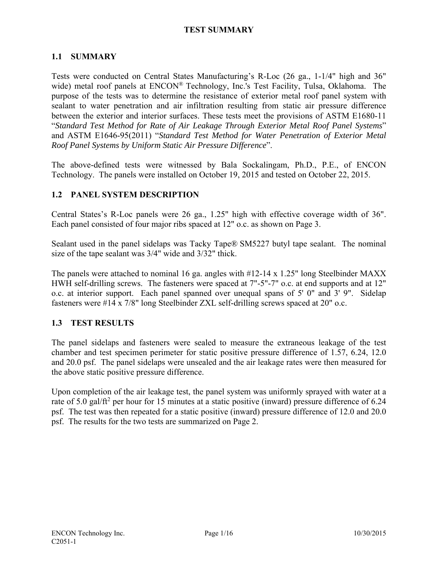# **TEST SUMMARY**

#### **1.1 SUMMARY**

Tests were conducted on Central States Manufacturing's R-Loc (26 ga., 1-1/4" high and 36" wide) metal roof panels at ENCON<sup>®</sup> Technology, Inc.'s Test Facility, Tulsa, Oklahoma. The purpose of the tests was to determine the resistance of exterior metal roof panel system with sealant to water penetration and air infiltration resulting from static air pressure difference between the exterior and interior surfaces. These tests meet the provisions of ASTM E1680-11 "*Standard Test Method for Rate of Air Leakage Through Exterior Metal Roof Panel Systems*" and ASTM E1646-95(2011) "*Standard Test Method for Water Penetration of Exterior Metal Roof Panel Systems by Uniform Static Air Pressure Difference*".

The above-defined tests were witnessed by Bala Sockalingam, Ph.D., P.E., of ENCON Technology. The panels were installed on October 19, 2015 and tested on October 22, 2015.

## **1.2 PANEL SYSTEM DESCRIPTION**

Central States's R-Loc panels were 26 ga., 1.25" high with effective coverage width of 36". Each panel consisted of four major ribs spaced at 12" o.c. as shown on Page 3.

Sealant used in the panel sidelaps was Tacky Tape® SM5227 butyl tape sealant. The nominal size of the tape sealant was 3/4" wide and 3/32" thick.

The panels were attached to nominal 16 ga. angles with #12-14 x 1.25" long Steelbinder MAXX HWH self-drilling screws. The fasteners were spaced at 7"-5"-7" o.c. at end supports and at 12" o.c. at interior support. Each panel spanned over unequal spans of 5' 0" and 3' 9". Sidelap fasteners were #14 x 7/8" long Steelbinder ZXL self-drilling screws spaced at 20" o.c.

#### **1.3 TEST RESULTS**

The panel sidelaps and fasteners were sealed to measure the extraneous leakage of the test chamber and test specimen perimeter for static positive pressure difference of 1.57, 6.24, 12.0 and 20.0 psf. The panel sidelaps were unsealed and the air leakage rates were then measured for the above static positive pressure difference.

Upon completion of the air leakage test, the panel system was uniformly sprayed with water at a rate of 5.0 gal/ft<sup>2</sup> per hour for 15 minutes at a static positive (inward) pressure difference of 6.24 psf. The test was then repeated for a static positive (inward) pressure difference of 12.0 and 20.0 psf. The results for the two tests are summarized on Page 2.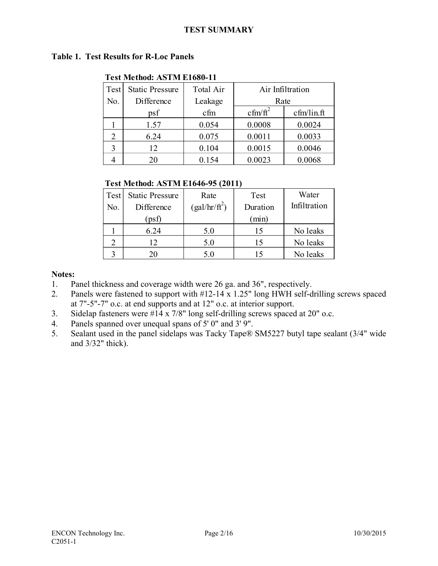# **Table 1. Test Results for R-Loc Panels**

| Test Methou. AS I'M ET000-TT |                        |                  |                   |              |  |  |  |
|------------------------------|------------------------|------------------|-------------------|--------------|--|--|--|
| Test                         | <b>Static Pressure</b> | <b>Total Air</b> | Air Infiltration  |              |  |  |  |
| No.                          | Difference             | Leakage          | Rate              |              |  |  |  |
|                              | psf                    | cfm              | $\text{cfm/ft}^2$ | $cfm/lin$ ft |  |  |  |
|                              | 157                    | 0.054            | 0.0008            | 0.0024       |  |  |  |
|                              | 6 24                   | 0.075            | 0.0011            | 0.0033       |  |  |  |
|                              | 12                     | 0.104            | 0.0015            | 0.0046       |  |  |  |
|                              | 20                     | 0.154            | 0.0023            | 0.0068       |  |  |  |

# **Test Method: ASTM E1680-11**

# **Test Method: ASTM E1646-95 (2011)**

| Test | <b>Static Pressure</b> | Rate            | Test     | Water        |
|------|------------------------|-----------------|----------|--------------|
| No.  | Difference             | $(gal/hr/ft^2)$ | Duration | Infiltration |
|      | (psf)                  |                 | min)     |              |
|      | 6.24                   | 50              |          | No leaks     |
|      |                        | 5 O             |          | No leaks     |
|      |                        |                 |          | No leaks     |

#### **Notes:**

- 1. Panel thickness and coverage width were 26 ga. and 36", respectively.
- 2. Panels were fastened to support with #12-14 x 1.25" long HWH self-drilling screws spaced at 7"-5"-7" o.c. at end supports and at 12" o.c. at interior support.
- 3. Sidelap fasteners were #14 x 7/8" long self-drilling screws spaced at 20" o.c.
- 4. Panels spanned over unequal spans of 5' 0" and 3' 9".
- 5. Sealant used in the panel sidelaps was Tacky Tape® SM5227 butyl tape sealant (3/4" wide and 3/32" thick).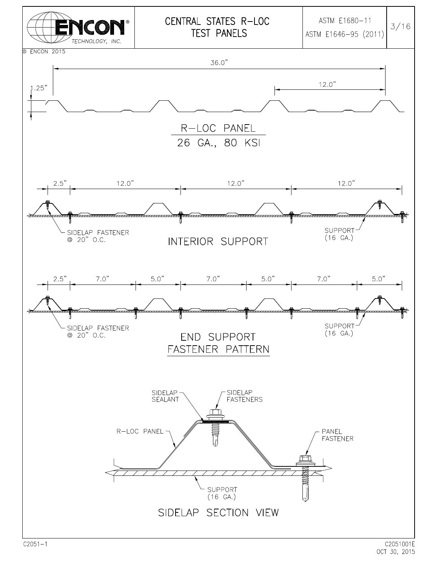

 $3/16$ 

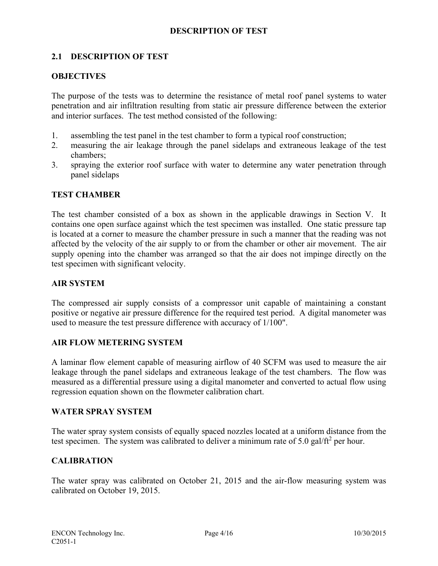## **DESCRIPTION OF TEST**

## **2.1 DESCRIPTION OF TEST**

#### **OBJECTIVES**

The purpose of the tests was to determine the resistance of metal roof panel systems to water penetration and air infiltration resulting from static air pressure difference between the exterior and interior surfaces. The test method consisted of the following:

- 1. assembling the test panel in the test chamber to form a typical roof construction;
- 2. measuring the air leakage through the panel sidelaps and extraneous leakage of the test chambers;
- 3. spraying the exterior roof surface with water to determine any water penetration through panel sidelaps

#### **TEST CHAMBER**

The test chamber consisted of a box as shown in the applicable drawings in Section V. It contains one open surface against which the test specimen was installed. One static pressure tap is located at a corner to measure the chamber pressure in such a manner that the reading was not affected by the velocity of the air supply to or from the chamber or other air movement. The air supply opening into the chamber was arranged so that the air does not impinge directly on the test specimen with significant velocity.

#### **AIR SYSTEM**

The compressed air supply consists of a compressor unit capable of maintaining a constant positive or negative air pressure difference for the required test period. A digital manometer was used to measure the test pressure difference with accuracy of 1/100".

#### **AIR FLOW METERING SYSTEM**

A laminar flow element capable of measuring airflow of 40 SCFM was used to measure the air leakage through the panel sidelaps and extraneous leakage of the test chambers. The flow was measured as a differential pressure using a digital manometer and converted to actual flow using regression equation shown on the flowmeter calibration chart.

#### **WATER SPRAY SYSTEM**

The water spray system consists of equally spaced nozzles located at a uniform distance from the test specimen. The system was calibrated to deliver a minimum rate of 5.0 gal/ft<sup>2</sup> per hour.

#### **CALIBRATION**

The water spray was calibrated on October 21, 2015 and the air-flow measuring system was calibrated on October 19, 2015.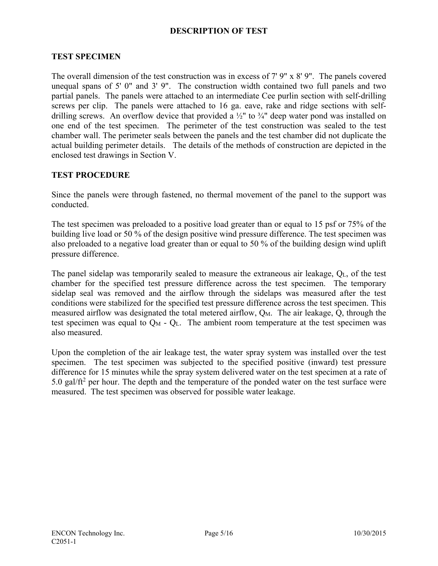## **DESCRIPTION OF TEST**

#### **TEST SPECIMEN**

The overall dimension of the test construction was in excess of 7' 9" x 8' 9". The panels covered unequal spans of 5' 0" and 3' 9". The construction width contained two full panels and two partial panels. The panels were attached to an intermediate Cee purlin section with self-drilling screws per clip. The panels were attached to 16 ga. eave, rake and ridge sections with selfdrilling screws. An overflow device that provided a  $\frac{1}{2}$ " to  $\frac{3}{4}$ " deep water pond was installed on one end of the test specimen. The perimeter of the test construction was sealed to the test chamber wall. The perimeter seals between the panels and the test chamber did not duplicate the actual building perimeter details. The details of the methods of construction are depicted in the enclosed test drawings in Section V.

#### **TEST PROCEDURE**

Since the panels were through fastened, no thermal movement of the panel to the support was conducted.

The test specimen was preloaded to a positive load greater than or equal to 15 psf or 75% of the building live load or 50 % of the design positive wind pressure difference. The test specimen was also preloaded to a negative load greater than or equal to 50 % of the building design wind uplift pressure difference.

The panel sidelap was temporarily sealed to measure the extraneous air leakage, QL, of the test chamber for the specified test pressure difference across the test specimen. The temporary sidelap seal was removed and the airflow through the sidelaps was measured after the test conditions were stabilized for the specified test pressure difference across the test specimen. This measured airflow was designated the total metered airflow, Q<sub>M</sub>. The air leakage, Q, through the test specimen was equal to  $O_M$  -  $O_L$ . The ambient room temperature at the test specimen was also measured.

Upon the completion of the air leakage test, the water spray system was installed over the test specimen. The test specimen was subjected to the specified positive (inward) test pressure difference for 15 minutes while the spray system delivered water on the test specimen at a rate of 5.0 gal/ $ft<sup>2</sup>$  per hour. The depth and the temperature of the ponded water on the test surface were measured. The test specimen was observed for possible water leakage.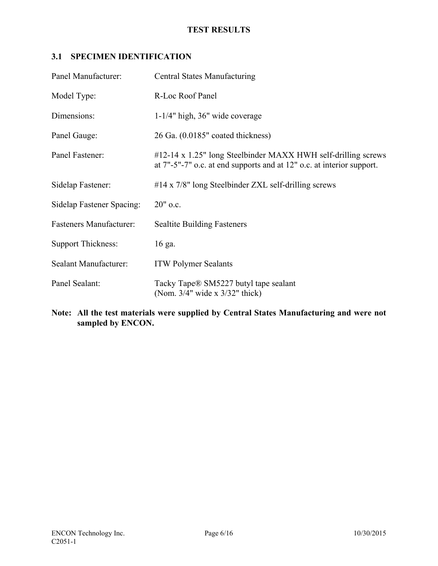# **TEST RESULTS**

# **3.1 SPECIMEN IDENTIFICATION**

| Panel Manufacturer:            | <b>Central States Manufacturing</b>                                                                                                    |  |  |  |
|--------------------------------|----------------------------------------------------------------------------------------------------------------------------------------|--|--|--|
| Model Type:                    | R-Loc Roof Panel                                                                                                                       |  |  |  |
| Dimensions:                    | $1-1/4$ " high, 36" wide coverage                                                                                                      |  |  |  |
| Panel Gauge:                   | 26 Ga. (0.0185" coated thickness)                                                                                                      |  |  |  |
| Panel Fastener:                | #12-14 x 1.25" long Steelbinder MAXX HWH self-drilling screws<br>at 7"-5"-7" o.c. at end supports and at 12" o.c. at interior support. |  |  |  |
| Sidelap Fastener:              | $#14 \times 7/8"$ long Steelbinder ZXL self-drilling screws                                                                            |  |  |  |
| Sidelap Fastener Spacing:      | $20"$ o.c.                                                                                                                             |  |  |  |
| <b>Fasteners Manufacturer:</b> | <b>Sealtite Building Fasteners</b>                                                                                                     |  |  |  |
| <b>Support Thickness:</b>      | 16 ga.                                                                                                                                 |  |  |  |
| Sealant Manufacturer:          | <b>ITW Polymer Sealants</b>                                                                                                            |  |  |  |
| Panel Sealant:                 | Tacky Tape® SM5227 butyl tape sealant<br>(Nom. $3/4$ " wide x $3/32$ " thick)                                                          |  |  |  |

# **Note: All the test materials were supplied by Central States Manufacturing and were not sampled by ENCON.**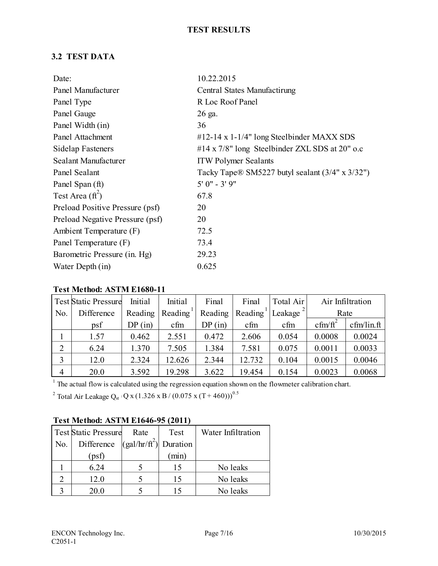# **3.2 TEST DATA**

| Date:                           | 10.22.2015                                             |  |  |  |
|---------------------------------|--------------------------------------------------------|--|--|--|
| Panel Manufacturer              | Central States Manufactirung                           |  |  |  |
| Panel Type                      | R Loc Roof Panel                                       |  |  |  |
| Panel Gauge                     | 26 ga.                                                 |  |  |  |
| Panel Width (in)                | 36                                                     |  |  |  |
| Panel Attachment                | $\#12-14 \times 1-1/4"$ long Steelbinder MAXX SDS      |  |  |  |
| <b>Sidelap Fasteners</b>        | #14 x 7/8" long Steelbinder ZXL SDS at $20"$ o.c       |  |  |  |
| Sealant Manufacturer            | <b>ITW</b> Polymer Sealants                            |  |  |  |
| Panel Sealant                   | Tacky Tape® SM5227 butyl sealant $(3/4" \times 3/32")$ |  |  |  |
| Panel Span (ft)                 | $5'$ $0''$ - $3'$ $9''$                                |  |  |  |
| Test Area $(\text{ft}^2)$       | 67.8                                                   |  |  |  |
| Preload Positive Pressure (psf) | 20                                                     |  |  |  |
| Preload Negative Pressure (psf) | 20                                                     |  |  |  |
| Ambient Temperature (F)         | 72.5                                                   |  |  |  |
| Panel Temperature (F)           | 73.4                                                   |  |  |  |
| Barometric Pressure (in. Hg)    | 29.23                                                  |  |  |  |
| Water Depth (in)                | 0.625                                                  |  |  |  |

#### **Test Method: ASTM E1680-11**

|                | <b>Test Static Pressure</b> | Initial | Initial | Final   | Final   | Total Air |                   | Air Infiltration |
|----------------|-----------------------------|---------|---------|---------|---------|-----------|-------------------|------------------|
| No.            | Difference                  | Reading | Reading | Reading | Reading | Leakage   | Rate              |                  |
|                | psf                         | DP(in)  | cfm     | DP(in)  | cfm     | cfm       | $cfm/\text{ft}^2$ | $cfm/lin$ .ft    |
|                | 1.57                        | 0.462   | 2.551   | 0.472   | 2.606   | 0.054     | 0.0008            | 0.0024           |
| $\overline{2}$ | 6.24                        | 1.370   | 7.505   | 1.384   | 7.581   | 0.075     | 0.0011            | 0.0033           |
| 3              | 12.0                        | 2.324   | 12.626  | 2.344   | 12.732  | 0.104     | 0.0015            | 0.0046           |
| $\overline{4}$ | 20.0                        | 3.592   | 19.298  | 3.622   | 19.454  | 0.154     | 0.0023            | 0.0068           |

 $1$  The actual flow is calculated using the regression equation shown on the flowmeter calibration chart.

<sup>2</sup> Total Air Leakage Q<sub>st</sub>: Q x (1.326 x B / (0.075 x (T + 460)))<sup>0.5</sup>

## **Test Method: ASTM E1646-95 (2011)**

|                | <b>Test Static Pressure</b> | Rate                                                  | Test  | Water Infiltration |  |  |
|----------------|-----------------------------|-------------------------------------------------------|-------|--------------------|--|--|
| No.            | Difference                  | $\left  \frac{1}{\text{gal/hr}} \right ^{2}$ Duration |       |                    |  |  |
|                | (psf)                       |                                                       | (min) |                    |  |  |
|                | 6.24                        |                                                       | 15    | No leaks           |  |  |
| $\mathfrak{D}$ | 12.0                        |                                                       | 15    | No leaks           |  |  |
| 2              | 20.0                        |                                                       | 15    | No leaks           |  |  |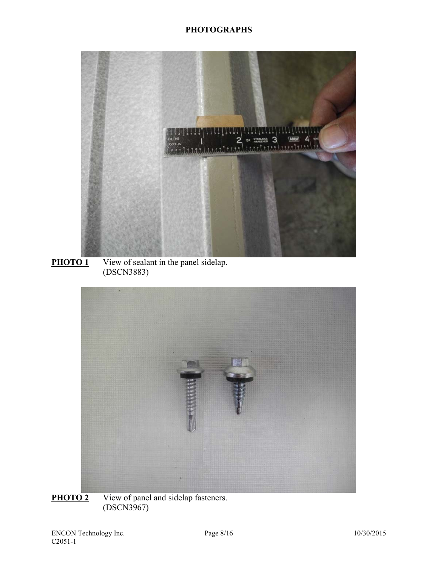



**PHOTO 1** View of sealant in the panel sidelap. (DSCN3883)



**PHOTO 2** View of panel and sidelap fasteners. (DSCN3967)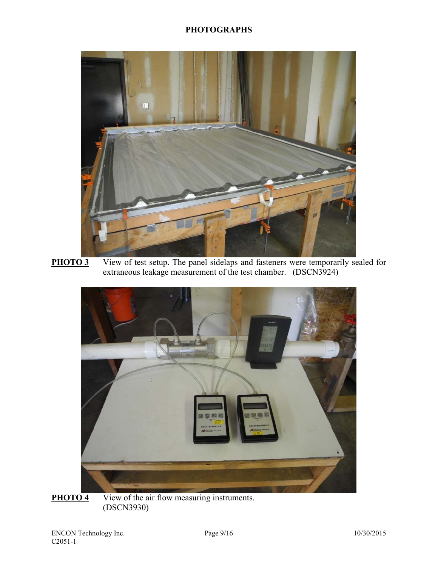## **PHOTOGRAPHS**



**PHOTO 3** View of test setup. The panel sidelaps and fasteners were temporarily sealed for extraneous leakage measurement of the test chamber. (DSCN3924)



**PHOTO 4** View of the air flow measuring instruments. (DSCN3930)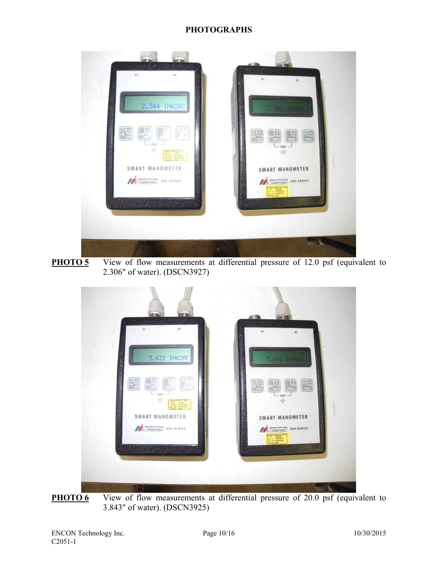#### **PHOTOGRAPHS**



**PHOTO 5** View of flow measurements at differential pressure of 12.0 psf (equivalent to 2.306" of water). (DSCN3927)



**PHOTO 6** View of flow measurements at differential pressure of 20.0 psf (equivalent to 3.843" of water). (DSCN3925)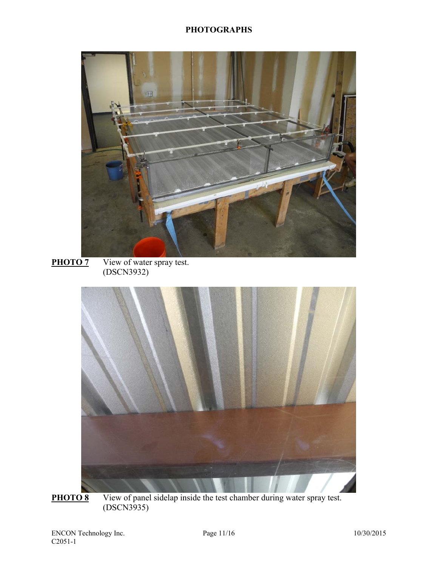#### **PHOTOGRAPHS**



**PHOTO 7** View of water spray test. (DSCN3932)



**PHOTO 8** View of panel sidelap inside the test chamber during water spray test. (DSCN3935)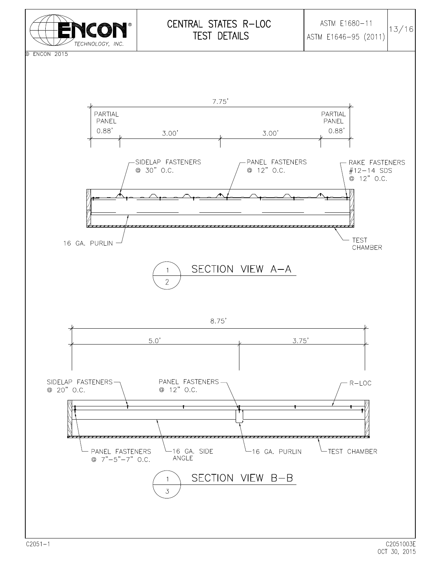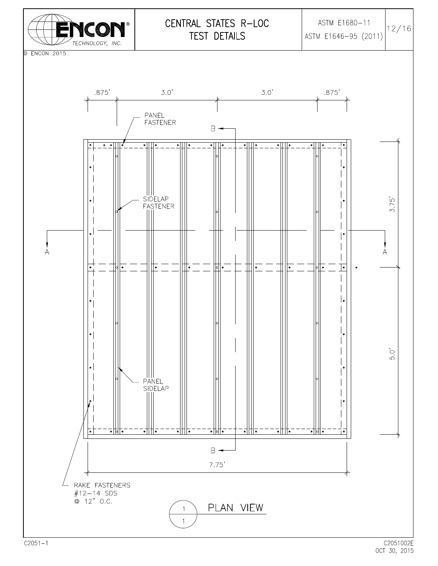

# CENTRAL STATES R-LOC **TEST DETAILS**

**ENCON 2015** 

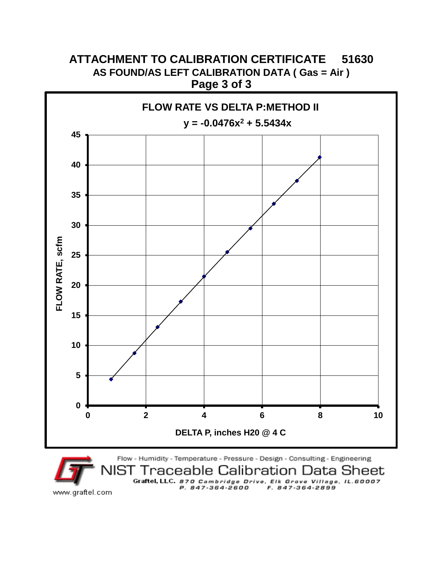# **Page 3 of 3 AS FOUND/AS LEFT CALIBRATION DATA ( Gas = Air ) ATTACHMENT TO CALIBRATION CERTIFICATE 51630**



Flow - Humidity - Temperature - Pressure - Design - Consulting - Engineering NIST 1 Traceable Calibration Data Sheet Graftel, LLC. 870 Cambridge Drive, Elk Grove Village, IL.60007 P. 847-364-2600 F. 847-364-2899

www.graftel.com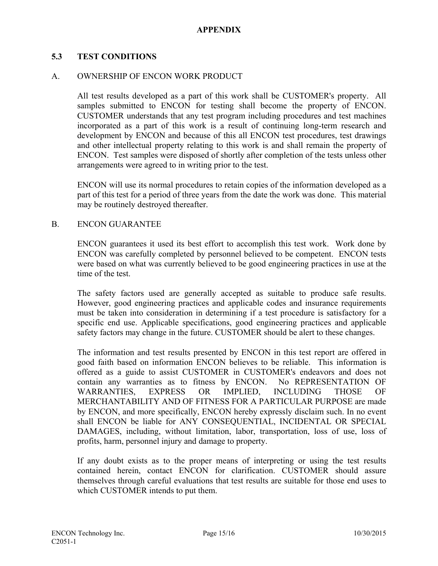## **APPENDIX**

## **5.3 TEST CONDITIONS**

#### A. OWNERSHIP OF ENCON WORK PRODUCT

All test results developed as a part of this work shall be CUSTOMER's property. All samples submitted to ENCON for testing shall become the property of ENCON. CUSTOMER understands that any test program including procedures and test machines incorporated as a part of this work is a result of continuing long-term research and development by ENCON and because of this all ENCON test procedures, test drawings and other intellectual property relating to this work is and shall remain the property of ENCON. Test samples were disposed of shortly after completion of the tests unless other arrangements were agreed to in writing prior to the test.

ENCON will use its normal procedures to retain copies of the information developed as a part of this test for a period of three years from the date the work was done. This material may be routinely destroyed thereafter.

#### B. ENCON GUARANTEE

ENCON guarantees it used its best effort to accomplish this test work. Work done by ENCON was carefully completed by personnel believed to be competent. ENCON tests were based on what was currently believed to be good engineering practices in use at the time of the test.

The safety factors used are generally accepted as suitable to produce safe results. However, good engineering practices and applicable codes and insurance requirements must be taken into consideration in determining if a test procedure is satisfactory for a specific end use. Applicable specifications, good engineering practices and applicable safety factors may change in the future. CUSTOMER should be alert to these changes.

The information and test results presented by ENCON in this test report are offered in good faith based on information ENCON believes to be reliable. This information is offered as a guide to assist CUSTOMER in CUSTOMER's endeavors and does not contain any warranties as to fitness by ENCON. No REPRESENTATION OF WARRANTIES, EXPRESS OR IMPLIED, INCLUDING THOSE OF MERCHANTABILITY AND OF FITNESS FOR A PARTICULAR PURPOSE are made by ENCON, and more specifically, ENCON hereby expressly disclaim such. In no event shall ENCON be liable for ANY CONSEQUENTIAL, INCIDENTAL OR SPECIAL DAMAGES, including, without limitation, labor, transportation, loss of use, loss of profits, harm, personnel injury and damage to property.

If any doubt exists as to the proper means of interpreting or using the test results contained herein, contact ENCON for clarification. CUSTOMER should assure themselves through careful evaluations that test results are suitable for those end uses to which CUSTOMER intends to put them.